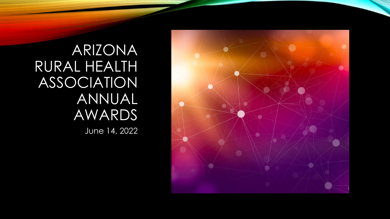

ARIZONA RURAL HEALTH ASSOCIATION ANNUAL AWARDS June 14, 2022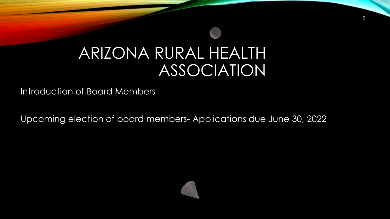## ARIZONA RURAL HEALTH ASSOCIATION

Introduction of Board Members

Upcoming election of board members- Applications due June 30, 2022

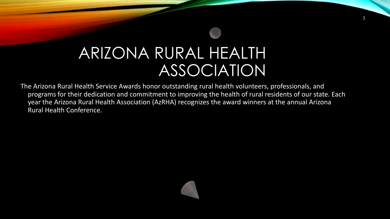## ARIZONA RURAL HEALTH ASSOCIATION

The Arizona Rural Health Service Awards honor outstanding rural health volunteers, professionals, and programs for their dedication and commitment to improving the health of rural residents of our state. Each year the Arizona Rural Health Association (AzRHA) recognizes the award winners at the annual Arizona Rural Health Conference.

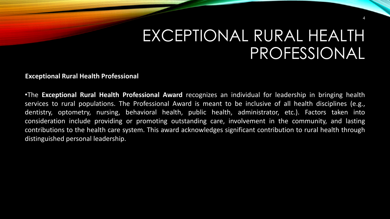## EXCEPTIONAL RURAL HEALTH PROFESSIONAL

4

**Exceptional Rural Health Professional**

•The **Exceptional Rural Health Professional Award** recognizes an individual for leadership in bringing health services to rural populations. The Professional Award is meant to be inclusive of all health disciplines (e.g., dentistry, optometry, nursing, behavioral health, public health, administrator, etc.). Factors taken into consideration include providing or promoting outstanding care, involvement in the community, and lasting contributions to the health care system. This award acknowledges significant contribution to rural health through distinguished personal leadership.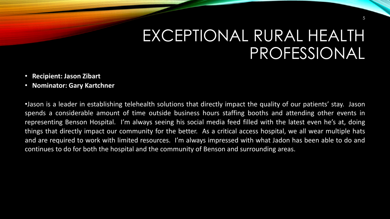## EXCEPTIONAL RURAL HEALTH PROFESSIONAL

- **Recipient: Jason Zibart**
- **Nominator: Gary Kartchner**

•Jason is a leader in establishing telehealth solutions that directly impact the quality of our patients' stay. Jason spends a considerable amount of time outside business hours staffing booths and attending other events in representing Benson Hospital. I'm always seeing his social media feed filled with the latest even he's at, doing things that directly impact our community for the better. As a critical access hospital, we all wear multiple hats and are required to work with limited resources. I'm always impressed with what Jadon has been able to do and continues to do for both the hospital and the community of Benson and surrounding areas.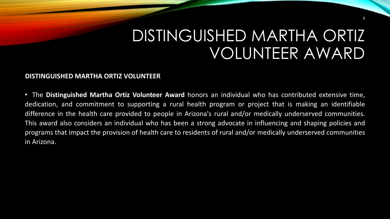## DISTINGUISHED MARTHA ORTIZ VOLUNTEER AWARD

6

### **DISTINGUISHED MARTHA ORTIZ VOLUNTEER**

• The **Distinguished Martha Ortiz Volunteer Award** honors an individual who has contributed extensive time, dedication, and commitment to supporting a rural health program or project that is making an identifiable difference in the health care provided to people in Arizona's rural and/or medically underserved communities. This award also considers an individual who has been a strong advocate in influencing and shaping policies and programs that impact the provision of health care to residents of rural and/or medically underserved communities in Arizona.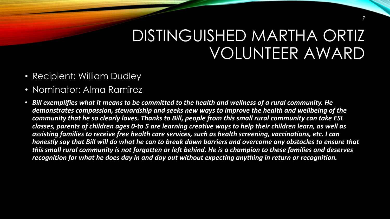## DISTINGUISHED MARTHA ORTIZ VOLUNTEER AWARD

- Recipient: William Dudley
- Nominator: Alma Ramirez
- *Bill exemplifies what it means to be committed to the health and wellness of a rural community. He demonstrates compassion, stewardship and seeks new ways to improve the health and wellbeing of the community that he so clearly loves. Thanks to Bill, people from this small rural community can take ESL classes, parents of children ages 0-to 5 are learning creative ways to help their children learn, as well as assisting families to receive free health care services, such as health screening, vaccinations, etc. I can honestly say that Bill will do what he can to break down barriers and overcome any obstacles to ensure that this small rural community is not forgotten or left behind. He is a champion to these families and deserves recognition for what he does day in and day out without expecting anything in return or recognition.*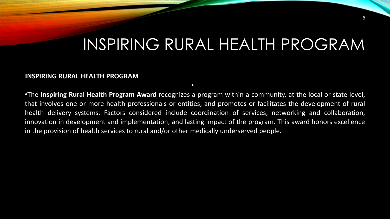## INSPIRING RURAL HEALTH PROGRAM

#### **INSPIRING RURAL HEALTH PROGRAM**

•The **Inspiring Rural Health Program Award** recognizes a program within a community, at the local or state level, that involves one or more health professionals or entities, and promotes or facilitates the development of rural health delivery systems. Factors considered include coordination of services, networking and collaboration, innovation in development and implementation, and lasting impact of the program. This award honors excellence in the provision of health services to rural and/or other medically underserved people.

•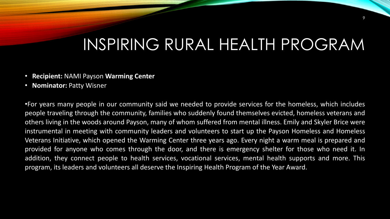# INSPIRING RURAL HEALTH PROGRAM

- **Recipient:** NAMI Payson **Warming Center**
- **Nominator:** Patty Wisner

•For years many people in our community said we needed to provide services for the homeless, which includes people traveling through the community, families who suddenly found themselves evicted, homeless veterans and others living in the woods around Payson, many of whom suffered from mental illness. Emily and Skyler Brice were instrumental in meeting with community leaders and volunteers to start up the Payson Homeless and Homeless Veterans Initiative, which opened the Warming Center three years ago. Every night a warm meal is prepared and provided for anyone who comes through the door, and there is emergency shelter for those who need it. In addition, they connect people to health services, vocational services, mental health supports and more. This program, its leaders and volunteers all deserve the Inspiring Health Program of the Year Award.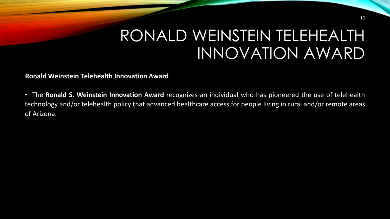## RONALD WEINSTEIN TELEHEALTH INNOVATION AWARD

**Ronald Weinstein Telehealth Innovation Award**

• The **Ronald S. Weinstein Innovation Award** recognizes an individual who has pioneered the use of telehealth technology and/or telehealth policy that advanced healthcare access for people living in rural and/or remote areas of Arizona.